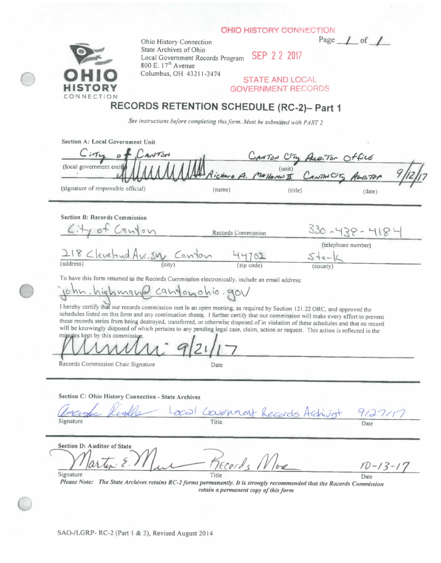**OHIO HISTORY CONNECTION** 



Ohio History Connection Page 1 of **State Archives of Ohio** Local Government Records Program **SEP 2 2 2017** 800 E. 17<sup>th</sup> Avenue Columbus, OH 43211-2474

**STATE AND LOCAL GOVERNMENT RECORDS** 

## **RECORDS RETENTION SCHEDULE (RC.2)- Part 1**

See instructions before completing this form. Must be submitted with PART 2

| Section A: Local Government Unit    |        |                                                  |        |  |
|-------------------------------------|--------|--------------------------------------------------|--------|--|
| $4N$ TON                            |        | CANTON CTM ALO. TOM Office                       |        |  |
| (local government entity            |        | MANNANA Richard A. Mallones I CANTON City ANDTON |        |  |
| (signature of responsible official) | (name) | (title)                                          | (date) |  |

**Section B: Records Commission** 

| City of Canton               |        | Records Commission | $-438 - 418$                 |  |
|------------------------------|--------|--------------------|------------------------------|--|
| 218 Cleveland Ave. SW Canton |        | 44701              | (telephone number)<br>$44-1$ |  |
| (address)                    | (city) | (zip code)         | (county)                     |  |

To have this form returned to the Records Commission electronically, include an email address:

 $conformation$ Jenn

I hereby certify that our records commission met in an open meeting, as required by Section 121.22 ORC, and approved the schedules listed on this form and any continuation sheets. 1 further certify that our commission will make every effort to prevent these records series from being destroyed, transferred, or otherwise disposed of in violation of these schedules and that no record will be knowingly disposed of which pertains to any pending legal case, claim, action or request. This action is reflected in the

minutes kept by this commission

Records Commission Chair Signature Date

**Section C: Ohio History Connection - State Archives** 

|           | amenta Rindla Local Covenant Records Archivist 9127/17 |  |
|-----------|--------------------------------------------------------|--|
| Signature |                                                        |  |

**Section D: Auditor of State ^**  Records No  $-13-17$ **Signature** Date Date Date

*Please Note: The State Archives retains RC-2 forms permanently. It is strongly recommended thai the Records Commission retain a permanent copy of this form*